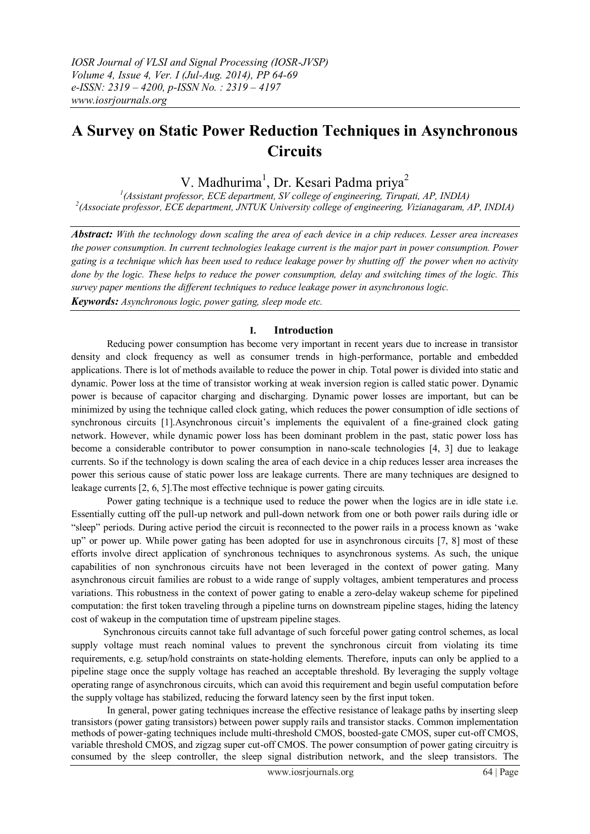# **A Survey on Static Power Reduction Techniques in Asynchronous Circuits**

V. Madhurima<sup>1</sup>, Dr. Kesari Padma priya<sup>2</sup>

*1 (Assistant professor, ECE department, SV college of engineering, Tirupati, AP, INDIA) 2 (Associate professor, ECE department, JNTUK University college of engineering, Vizianagaram, AP, INDIA)*

*Abstract: With the technology down scaling the area of each device in a chip reduces. Lesser area increases the power consumption. In current technologies leakage current is the major part in power consumption. Power gating is a technique which has been used to reduce leakage power by shutting off the power when no activity done by the logic. These helps to reduce the power consumption, delay and switching times of the logic. This survey paper mentions the different techniques to reduce leakage power in asynchronous logic. Keywords: Asynchronous logic, power gating, sleep mode etc.*

## **I. Introduction**

Reducing power consumption has become very important in recent years due to increase in transistor density and clock frequency as well as consumer trends in high-performance, portable and embedded applications. There is lot of methods available to reduce the power in chip. Total power is divided into static and dynamic. Power loss at the time of transistor working at weak inversion region is called static power. Dynamic power is because of capacitor charging and discharging. Dynamic power losses are important, but can be minimized by using the technique called clock gating, which reduces the power consumption of idle sections of synchronous circuits [1].Asynchronous circuit's implements the equivalent of a fine-grained clock gating network. However, while dynamic power loss has been dominant problem in the past, static power loss has become a considerable contributor to power consumption in nano-scale technologies [4, 3] due to leakage currents. So if the technology is down scaling the area of each device in a chip reduces lesser area increases the power this serious cause of static power loss are leakage currents. There are many techniques are designed to leakage currents [2, 6, 5].The most effective technique is power gating circuits.

Power gating technique is a technique used to reduce the power when the logics are in idle state i.e. Essentially cutting off the pull-up network and pull-down network from one or both power rails during idle or "sleep" periods. During active period the circuit is reconnected to the power rails in a process known as 'wake up" or power up. While power gating has been adopted for use in asynchronous circuits [7, 8] most of these efforts involve direct application of synchronous techniques to asynchronous systems. As such, the unique capabilities of non synchronous circuits have not been leveraged in the context of power gating. Many asynchronous circuit families are robust to a wide range of supply voltages, ambient temperatures and process variations. This robustness in the context of power gating to enable a zero-delay wakeup scheme for pipelined computation: the first token traveling through a pipeline turns on downstream pipeline stages, hiding the latency cost of wakeup in the computation time of upstream pipeline stages.

 Synchronous circuits cannot take full advantage of such forceful power gating control schemes, as local supply voltage must reach nominal values to prevent the synchronous circuit from violating its time requirements, e.g. setup/hold constraints on state-holding elements. Therefore, inputs can only be applied to a pipeline stage once the supply voltage has reached an acceptable threshold. By leveraging the supply voltage operating range of asynchronous circuits, which can avoid this requirement and begin useful computation before the supply voltage has stabilized, reducing the forward latency seen by the first input token.

In general, power gating techniques increase the effective resistance of leakage paths by inserting sleep transistors (power gating transistors) between power supply rails and transistor stacks. Common implementation methods of power-gating techniques include multi-threshold CMOS, boosted-gate CMOS, super cut-off CMOS, variable threshold CMOS, and zigzag super cut-off CMOS. The power consumption of power gating circuitry is consumed by the sleep controller, the sleep signal distribution network, and the sleep transistors. The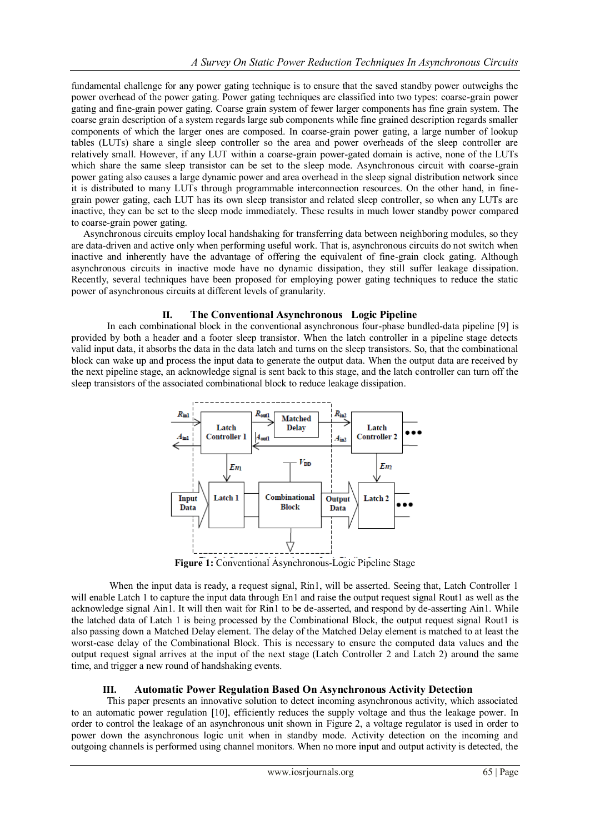fundamental challenge for any power gating technique is to ensure that the saved standby power outweighs the power overhead of the power gating. Power gating techniques are classified into two types: coarse-grain power gating and fine-grain power gating. Coarse grain system of fewer larger components has fine grain system. The coarse grain description of a system regards large sub components while fine grained description regards smaller components of which the larger ones are composed. In coarse-grain power gating, a large number of lookup tables (LUTs) share a single sleep controller so the area and power overheads of the sleep controller are relatively small. However, if any LUT within a coarse-grain power-gated domain is active, none of the LUTs which share the same sleep transistor can be set to the sleep mode. Asynchronous circuit with coarse-grain power gating also causes a large dynamic power and area overhead in the sleep signal distribution network since it is distributed to many LUTs through programmable interconnection resources. On the other hand, in finegrain power gating, each LUT has its own sleep transistor and related sleep controller, so when any LUTs are inactive, they can be set to the sleep mode immediately. These results in much lower standby power compared to coarse-grain power gating.

 Asynchronous circuits employ local handshaking for transferring data between neighboring modules, so they are data-driven and active only when performing useful work. That is, asynchronous circuits do not switch when inactive and inherently have the advantage of offering the equivalent of fine-grain clock gating. Although asynchronous circuits in inactive mode have no dynamic dissipation, they still suffer leakage dissipation. Recently, several techniques have been proposed for employing power gating techniques to reduce the static power of asynchronous circuits at different levels of granularity.

## **II. The Conventional Asynchronous Logic Pipeline**

In each combinational block in the conventional asynchronous four-phase bundled-data pipeline [9] is provided by both a header and a footer sleep transistor. When the latch controller in a pipeline stage detects valid input data, it absorbs the data in the data latch and turns on the sleep transistors. So, that the combinational block can wake up and process the input data to generate the output data. When the output data are received by the next pipeline stage, an acknowledge signal is sent back to this stage, and the latch controller can turn off the sleep transistors of the associated combinational block to reduce leakage dissipation.



**Figure 1:** Conventional Asynchronous-Logic Pipeline Stage

When the input data is ready, a request signal, Rin1, will be asserted. Seeing that, Latch Controller 1 will enable Latch 1 to capture the input data through En1 and raise the output request signal Rout1 as well as the acknowledge signal Ain1. It will then wait for Rin1 to be de-asserted, and respond by de-asserting Ain1. While the latched data of Latch 1 is being processed by the Combinational Block, the output request signal Rout1 is also passing down a Matched Delay element. The delay of the Matched Delay element is matched to at least the worst-case delay of the Combinational Block. This is necessary to ensure the computed data values and the output request signal arrives at the input of the next stage (Latch Controller 2 and Latch 2) around the same time, and trigger a new round of handshaking events.

## **III. Automatic Power Regulation Based On Asynchronous Activity Detection**

This paper presents an innovative solution to detect incoming asynchronous activity, which associated to an automatic power regulation [10], efficiently reduces the supply voltage and thus the leakage power. In order to control the leakage of an asynchronous unit shown in Figure 2, a voltage regulator is used in order to power down the asynchronous logic unit when in standby mode. Activity detection on the incoming and outgoing channels is performed using channel monitors. When no more input and output activity is detected, the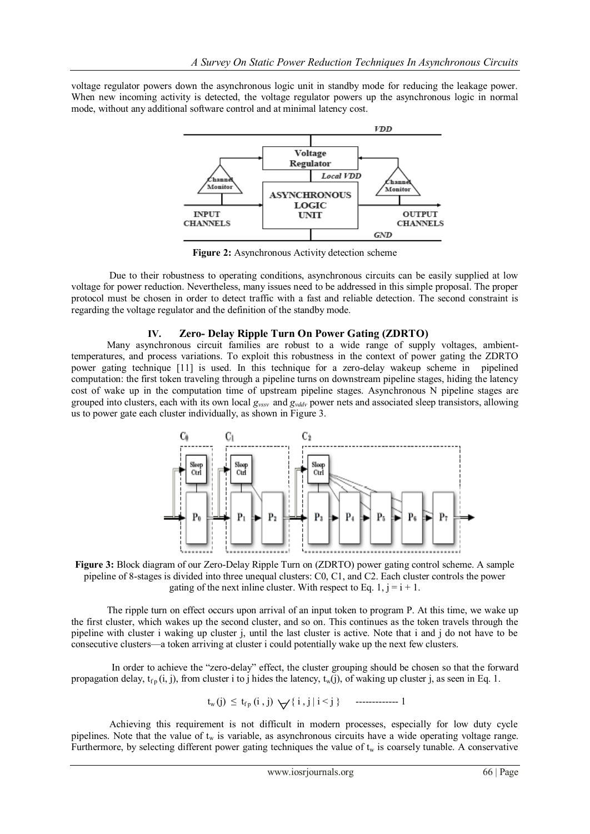voltage regulator powers down the asynchronous logic unit in standby mode for reducing the leakage power. When new incoming activity is detected, the voltage regulator powers up the asynchronous logic in normal mode, without any additional software control and at minimal latency cost.



**Figure 2:** Asynchronous Activity detection scheme

Due to their robustness to operating conditions, asynchronous circuits can be easily supplied at low voltage for power reduction. Nevertheless, many issues need to be addressed in this simple proposal. The proper protocol must be chosen in order to detect traffic with a fast and reliable detection. The second constraint is regarding the voltage regulator and the definition of the standby mode.

## **IV. Zero- Delay Ripple Turn On Power Gating (ZDRTO)**

Many asynchronous circuit families are robust to a wide range of supply voltages, ambienttemperatures, and process variations. To exploit this robustness in the context of power gating the ZDRTO power gating technique [11] is used. In this technique for a zero-delay wakeup scheme in pipelined computation: the first token traveling through a pipeline turns on downstream pipeline stages, hiding the latency cost of wake up in the computation time of upstream pipeline stages. Asynchronous N pipeline stages are grouped into clusters, each with its own local *gvssv* and *gvddv* power nets and associated sleep transistors, allowing us to power gate each cluster individually, as shown in Figure 3.



**Figure 3:** Block diagram of our Zero-Delay Ripple Turn on (ZDRTO) power gating control scheme. A sample pipeline of 8-stages is divided into three unequal clusters: C0, C1, and C2. Each cluster controls the power gating of the next inline cluster. With respect to Eq. 1,  $j = i + 1$ .

The ripple turn on effect occurs upon arrival of an input token to program P. At this time, we wake up the first cluster, which wakes up the second cluster, and so on. This continues as the token travels through the pipeline with cluster i waking up cluster j, until the last cluster is active. Note that i and j do not have to be consecutive clusters—a token arriving at cluster i could potentially wake up the next few clusters.

In order to achieve the "zero-delay" effect, the cluster grouping should be chosen so that the forward propagation delay,  $t_{f_p}(i, j)$ , from cluster i to j hides the latency,  $t_w(j)$ , of waking up cluster j, as seen in Eq. 1.

$$
t_w(j) \leq t_{fp}(i,j) \; \bigvee \{ \; i \; , j \; | \; i < j \; \} \qquad \qquad \text{-----1}
$$

Achieving this requirement is not difficult in modern processes, especially for low duty cycle pipelines. Note that the value of  $t_w$  is variable, as asynchronous circuits have a wide operating voltage range. Furthermore, by selecting different power gating techniques the value of  $t_w$  is coarsely tunable. A conservative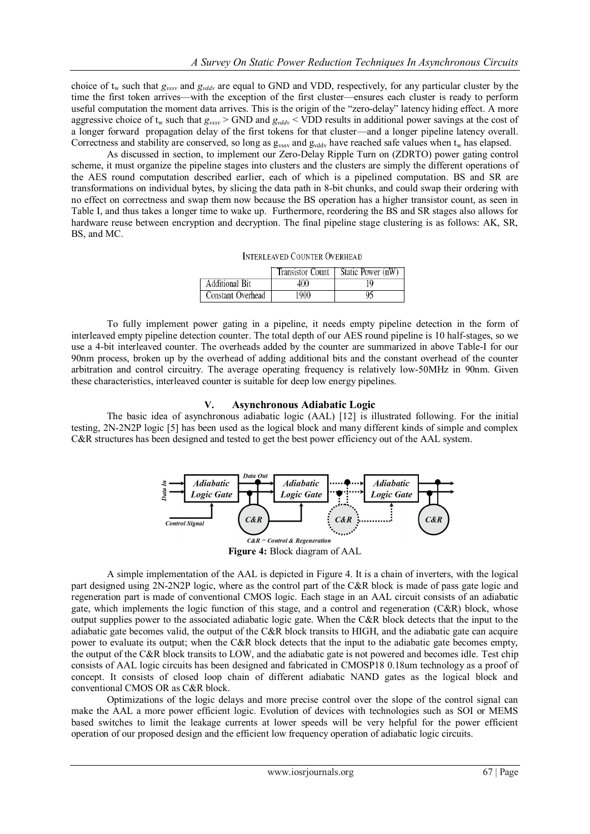choice of t<sup>w</sup> such that *gvssv* and *gvddv* are equal to GND and VDD, respectively, for any particular cluster by the time the first token arrives—with the exception of the first cluster—ensures each cluster is ready to perform useful computation the moment data arrives. This is the origin of the "zero-delay" latency hiding effect. A more aggressive choice of  $t_w$  such that  $g_{vssv}$  > GND and  $g_{vddv}$  < VDD results in additional power savings at the cost of a longer forward propagation delay of the first tokens for that cluster—and a longer pipeline latency overall. Correctness and stability are conserved, so long as  $g_{vssv}$  and  $g_{vddv}$  have reached safe values when  $t_w$  has elapsed.

As discussed in section, to implement our Zero-Delay Ripple Turn on (ZDRTO) power gating control scheme, it must organize the pipeline stages into clusters and the clusters are simply the different operations of the AES round computation described earlier, each of which is a pipelined computation. BS and SR are transformations on individual bytes, by slicing the data path in 8-bit chunks, and could swap their ordering with no effect on correctness and swap them now because the BS operation has a higher transistor count, as seen in Table I, and thus takes a longer time to wake up. Furthermore, reordering the BS and SR stages also allows for hardware reuse between encryption and decryption. The final pipeline stage clustering is as follows: AK, SR, BS, and MC.

| <b>INTERLEAVED COUNTER OVERHEAD</b> |  |  |
|-------------------------------------|--|--|
|-------------------------------------|--|--|

|                   | Transistor Count | Static Power (nW) |
|-------------------|------------------|-------------------|
| Additional Bit    | 400              |                   |
| Constant Overhead | 1900             |                   |

To fully implement power gating in a pipeline, it needs empty pipeline detection in the form of interleaved empty pipeline detection counter. The total depth of our AES round pipeline is 10 half-stages, so we use a 4-bit interleaved counter. The overheads added by the counter are summarized in above Table-I for our 90nm process, broken up by the overhead of adding additional bits and the constant overhead of the counter arbitration and control circuitry. The average operating frequency is relatively low-50MHz in 90nm. Given these characteristics, interleaved counter is suitable for deep low energy pipelines.

#### **V. Asynchronous Adiabatic Logic**

The basic idea of asynchronous adiabatic logic (AAL) [12] is illustrated following. For the initial testing, 2N-2N2P logic [5] has been used as the logical block and many different kinds of simple and complex C&R structures has been designed and tested to get the best power efficiency out of the AAL system.



**Figure 4:** Block diagram of AAL

A simple implementation of the AAL is depicted in Figure 4. It is a chain of inverters, with the logical part designed using 2N-2N2P logic, where as the control part of the C&R block is made of pass gate logic and regeneration part is made of conventional CMOS logic. Each stage in an AAL circuit consists of an adiabatic gate, which implements the logic function of this stage, and a control and regeneration (C&R) block, whose output supplies power to the associated adiabatic logic gate. When the C&R block detects that the input to the adiabatic gate becomes valid, the output of the C&R block transits to HIGH, and the adiabatic gate can acquire power to evaluate its output; when the C&R block detects that the input to the adiabatic gate becomes empty, the output of the C&R block transits to LOW, and the adiabatic gate is not powered and becomes idle. Test chip consists of AAL logic circuits has been designed and fabricated in CMOSP18 0.18um technology as a proof of concept. It consists of closed loop chain of different adiabatic NAND gates as the logical block and conventional CMOS OR as C&R block.

Optimizations of the logic delays and more precise control over the slope of the control signal can make the AAL a more power efficient logic. Evolution of devices with technologies such as SOI or MEMS based switches to limit the leakage currents at lower speeds will be very helpful for the power efficient operation of our proposed design and the efficient low frequency operation of adiabatic logic circuits.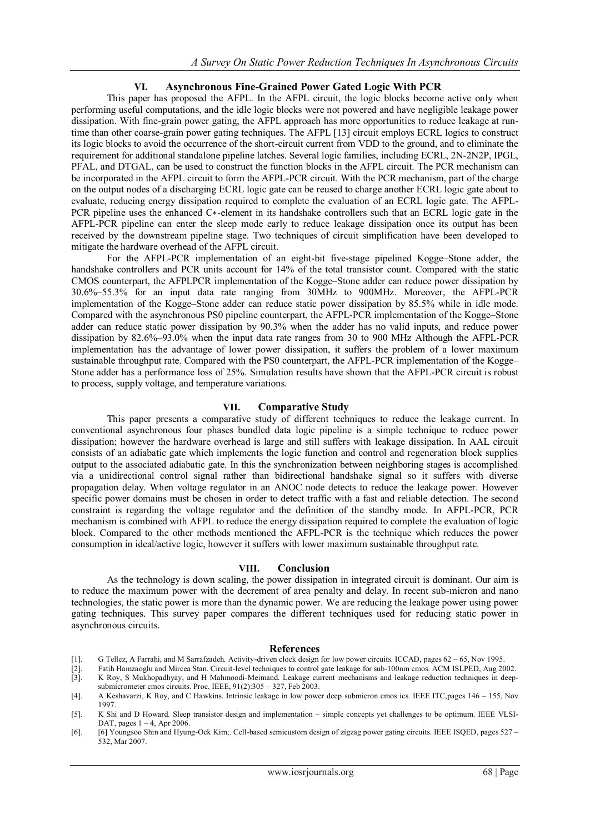## **VI. Asynchronous Fine-Grained Power Gated Logic With PCR**

This paper has proposed the AFPL. In the AFPL circuit, the logic blocks become active only when performing useful computations, and the idle logic blocks were not powered and have negligible leakage power dissipation. With fine-grain power gating, the AFPL approach has more opportunities to reduce leakage at runtime than other coarse-grain power gating techniques. The AFPL [13] circuit employs ECRL logics to construct its logic blocks to avoid the occurrence of the short-circuit current from VDD to the ground, and to eliminate the requirement for additional standalone pipeline latches. Several logic families, including ECRL, 2N-2N2P, IPGL, PFAL, and DTGAL, can be used to construct the function blocks in the AFPL circuit. The PCR mechanism can be incorporated in the AFPL circuit to form the AFPL-PCR circuit. With the PCR mechanism, part of the charge on the output nodes of a discharging ECRL logic gate can be reused to charge another ECRL logic gate about to evaluate, reducing energy dissipation required to complete the evaluation of an ECRL logic gate. The AFPL-PCR pipeline uses the enhanced C∗-element in its handshake controllers such that an ECRL logic gate in the AFPL-PCR pipeline can enter the sleep mode early to reduce leakage dissipation once its output has been received by the downstream pipeline stage. Two techniques of circuit simplification have been developed to mitigate the hardware overhead of the AFPL circuit.

For the AFPL-PCR implementation of an eight-bit five-stage pipelined Kogge–Stone adder, the handshake controllers and PCR units account for 14% of the total transistor count. Compared with the static CMOS counterpart, the AFPLPCR implementation of the Kogge–Stone adder can reduce power dissipation by 30.6%–55.3% for an input data rate ranging from 30MHz to 900MHz. Moreover, the AFPL-PCR implementation of the Kogge–Stone adder can reduce static power dissipation by 85.5% while in idle mode. Compared with the asynchronous PS0 pipeline counterpart, the AFPL-PCR implementation of the Kogge–Stone adder can reduce static power dissipation by 90.3% when the adder has no valid inputs, and reduce power dissipation by 82.6%–93.0% when the input data rate ranges from 30 to 900 MHz Although the AFPL-PCR implementation has the advantage of lower power dissipation, it suffers the problem of a lower maximum sustainable throughput rate. Compared with the PS0 counterpart, the AFPL-PCR implementation of the Kogge– Stone adder has a performance loss of 25%. Simulation results have shown that the AFPL-PCR circuit is robust to process, supply voltage, and temperature variations.

### **VII. Comparative Study**

This paper presents a comparative study of different techniques to reduce the leakage current. In conventional asynchronous four phases bundled data logic pipeline is a simple technique to reduce power dissipation; however the hardware overhead is large and still suffers with leakage dissipation. In AAL circuit consists of an adiabatic gate which implements the logic function and control and regeneration block supplies output to the associated adiabatic gate. In this the synchronization between neighboring stages is accomplished via a unidirectional control signal rather than bidirectional handshake signal so it suffers with diverse propagation delay. When voltage regulator in an ANOC node detects to reduce the leakage power. However specific power domains must be chosen in order to detect traffic with a fast and reliable detection. The second constraint is regarding the voltage regulator and the definition of the standby mode. In AFPL-PCR, PCR mechanism is combined with AFPL to reduce the energy dissipation required to complete the evaluation of logic block. Compared to the other methods mentioned the AFPL-PCR is the technique which reduces the power consumption in ideal/active logic, however it suffers with lower maximum sustainable throughput rate.

## **VIII. Conclusion**

As the technology is down scaling, the power dissipation in integrated circuit is dominant. Our aim is to reduce the maximum power with the decrement of area penalty and delay. In recent sub-micron and nano technologies, the static power is more than the dynamic power. We are reducing the leakage power using power gating techniques. This survey paper compares the different techniques used for reducing static power in asynchronous circuits.

#### **References**

- [1]. G Tellez, A Farrahi, and M Sarrafzadeh. Activity-driven clock design for low power circuits. ICCAD, pages 62 65, Nov 1995.
- [2]. Fatih Hamzaoglu and Mircea Stan. Circuit-level techniques to control gate leakage for sub-100nm cmos. ACM ISLPED, Aug 2002. K Roy, S Mukhopadhyay, and H Mahmoodi-Meimand. Leakage current mechanisms and leakage reduction techniques in deep-
- submicrometer cmos circuits. Proc. IEEE, 91(2):305 327, Feb 2003. [4]. A Keshavarzi, K Roy, and C Hawkins. Intrinsic leakage in low power deep submicron cmos ics. IEEE ITC,pages 146 – 155, Nov 1997.
- [5]. K Shi and D Howard. Sleep transistor design and implementation simple concepts yet challenges to be optimum. IEEE VLSI-DAT, pages  $1 - 4$ , Apr 2006.
- [6]. [6] Youngsoo Shin and Hyung-Ock Kim;. Cell-based semicustom design of zigzag power gating circuits. IEEE ISQED, pages 527 532, Mar 2007.